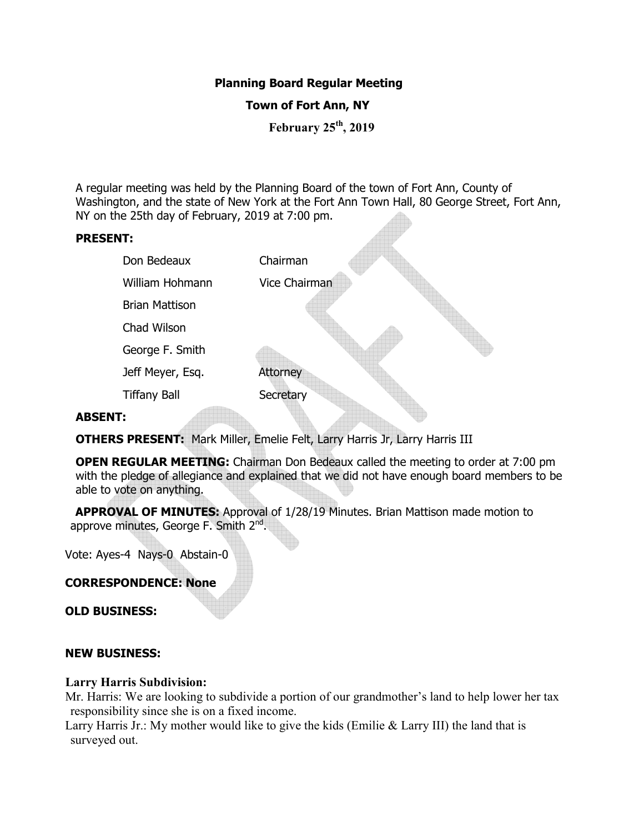# **Planning Board Regular Meeting**

# **Town of Fort Ann, NY**

**February 25th, 2019** 

A regular meeting was held by the Planning Board of the town of Fort Ann, County of Washington, and the state of New York at the Fort Ann Town Hall, 80 George Street, Fort Ann, NY on the 25th day of February, 2019 at 7:00 pm.

## **PRESENT:**

|                | Don Bedeaux           | Chairman        |
|----------------|-----------------------|-----------------|
|                | William Hohmann       | Vice Chairman   |
|                | <b>Brian Mattison</b> |                 |
|                | Chad Wilson           |                 |
|                | George F. Smith       |                 |
|                | Jeff Meyer, Esq.      | <b>Attorney</b> |
|                | <b>Tiffany Ball</b>   | Secretary       |
| <b>ABSENT:</b> |                       |                 |

## **ABSENT:**

**OTHERS PRESENT:** Mark Miller, Emelie Felt, Larry Harris Jr, Larry Harris III

**OPEN REGULAR MEETING:** Chairman Don Bedeaux called the meeting to order at 7:00 pm with the pledge of allegiance and explained that we did not have enough board members to be able to vote on anything.

 **APPROVAL OF MINUTES:** Approval of 1/28/19 Minutes. Brian Mattison made motion to approve minutes, George F. Smith 2<sup>nd</sup>.

Vote: Ayes-4 Nays-0 Abstain-0

## **CORRESPONDENCE: None**

**OLD BUSINESS:** 

#### **NEW BUSINESS:**

#### **Larry Harris Subdivision:**

Mr. Harris: We are looking to subdivide a portion of our grandmother's land to help lower her tax responsibility since she is on a fixed income.

Larry Harris Jr.: My mother would like to give the kids (Emilie & Larry III) the land that is surveyed out.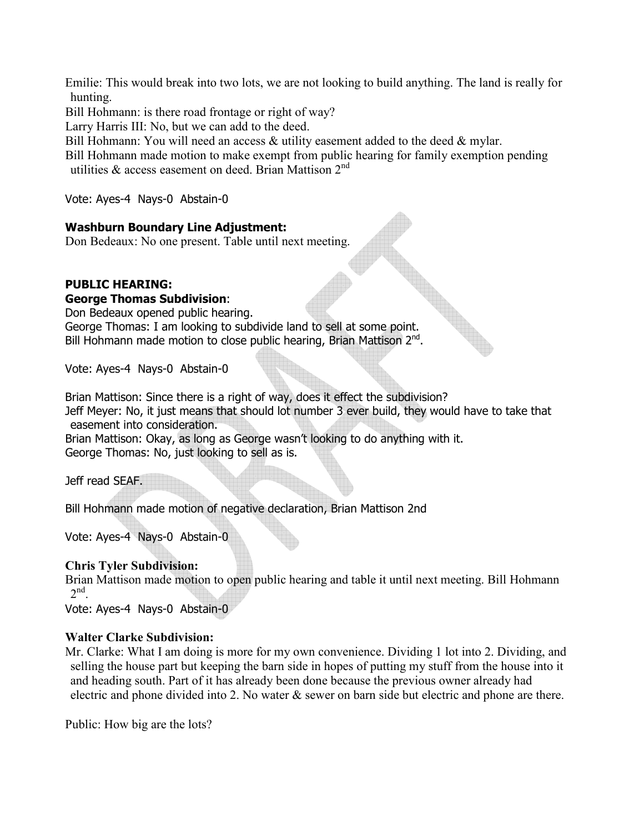Emilie: This would break into two lots, we are not looking to build anything. The land is really for hunting.

Bill Hohmann: is there road frontage or right of way?

Larry Harris III: No, but we can add to the deed.

Bill Hohmann: You will need an access & utility easement added to the deed & mylar.

Bill Hohmann made motion to make exempt from public hearing for family exemption pending utilities & access easement on deed. Brian Mattison  $2^{nd}$ 

Vote: Ayes-4 Nays-0 Abstain-0

## **Washburn Boundary Line Adjustment:**

Don Bedeaux: No one present. Table until next meeting.

# **PUBLIC HEARING:**

## **George Thomas Subdivision**:

Don Bedeaux opened public hearing.

George Thomas: I am looking to subdivide land to sell at some point. Bill Hohmann made motion to close public hearing, Brian Mattison 2<sup>nd</sup>.

Vote: Ayes-4 Nays-0 Abstain-0

Brian Mattison: Since there is a right of way, does it effect the subdivision? Jeff Meyer: No, it just means that should lot number 3 ever build, they would have to take that easement into consideration.

Brian Mattison: Okay, as long as George wasn't looking to do anything with it. George Thomas: No, just looking to sell as is.

Jeff read SEAF.

Bill Hohmann made motion of negative declaration, Brian Mattison 2nd

Vote: Ayes-4 Nays-0 Abstain-0

## **Chris Tyler Subdivision:**

Brian Mattison made motion to open public hearing and table it until next meeting. Bill Hohmann  $2<sup>nd</sup>$ .

Vote: Ayes-4 Nays-0 Abstain-0

## **Walter Clarke Subdivision:**

Mr. Clarke: What I am doing is more for my own convenience. Dividing 1 lot into 2. Dividing, and selling the house part but keeping the barn side in hopes of putting my stuff from the house into it and heading south. Part of it has already been done because the previous owner already had electric and phone divided into 2. No water & sewer on barn side but electric and phone are there.

Public: How big are the lots?